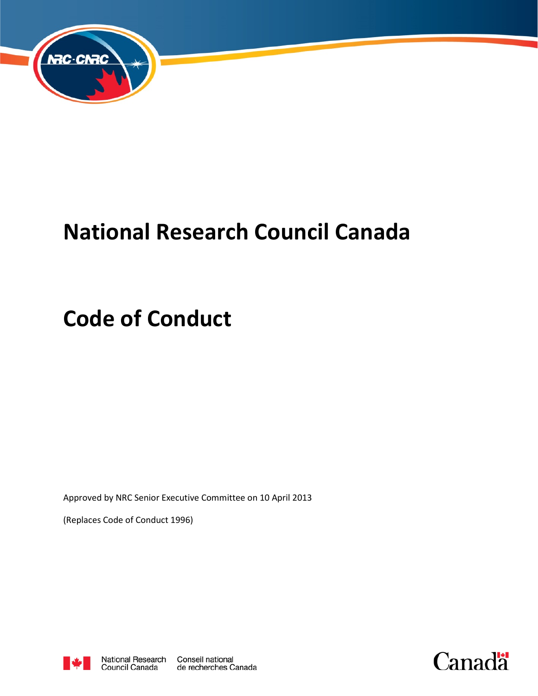

# **National Research Council Canada**

# **Code of Conduct**

Approved by NRC Senior Executive Committee on 10 April 2013

(Replaces Code of Conduct 1996)



de recherches Canada

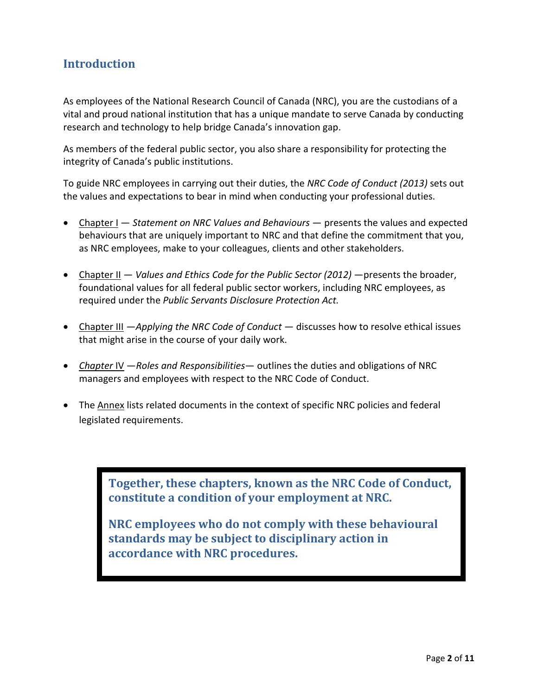## **Introduction**

As employees of the National Research Council of Canada (NRC), you are the custodians of a vital and proud national institution that has a unique mandate to serve Canada by conducting research and technology to help bridge Canada's innovation gap.

As members of the federal public sector, you also share a responsibility for protecting the integrity of Canada's public institutions.

To guide NRC employees in carrying out their duties, the *NRC Code of Conduct (2013)* sets out the values and expectations to bear in mind when conducting your professional duties.

- Chapter I *Statement on NRC Values and Behaviours*  presents the values and expected behaviours that are uniquely important to NRC and that define the commitment that you, as NRC employees, make to your colleagues, clients and other stakeholders.
- Chapter II *Values and Ethics Code for the Public Sector (2012)* presents the broader, foundational values for all federal public sector workers, including NRC employees, as required under the *Public Servants Disclosure Protection Act.*
- Chapter III *—Applying the NRC Code of Conduct —* discusses how to resolve ethical issues that might arise in the course of your daily work.
- *Chapter* IV —*Roles and Responsibilities* outlines the duties and obligations of NRC managers and employees with respect to the NRC Code of Conduct.
- The Annex lists related documents in the context of specific NRC policies and federal legislated requirements.

**Together, these chapters, known as the NRC Code of Conduct, constitute a condition of your employment at NRC.** 

**NRC employees who do not comply with these behavioural standards may be subject to disciplinary action in accordance with NRC procedures.**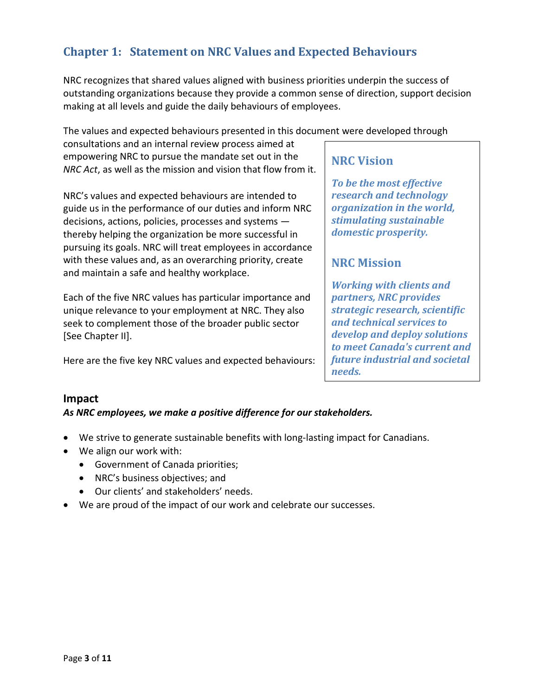# **Chapter 1: Statement on NRC Values and Expected Behaviours**

NRC recognizes that shared values aligned with business priorities underpin the success of outstanding organizations because they provide a common sense of direction, support decision making at all levels and guide the daily behaviours of employees.

The values and expected behaviours presented in this document were developed through

consultations and an internal review process aimed at empowering NRC to pursue the mandate set out in the *NRC Act*, as well as the mission and vision that flow from it.

NRC's values and expected behaviours are intended to guide us in the performance of our duties and inform NRC decisions, actions, policies, processes and systems thereby helping the organization be more successful in pursuing its goals. NRC will treat employees in accordance with these values and, as an overarching priority, create and maintain a safe and healthy workplace.

Each of the five NRC values has particular importance and unique relevance to your employment at NRC. They also seek to complement those of the broader public sector [See Chapter II].

Here are the five key NRC values and expected behaviours:

## **NRC Vision**

*To be the most effective research and technology organization in the world, stimulating sustainable domestic prosperity.*

## **NRC Mission**

*Working with clients and partners, NRC provides strategic research, scientific and technical services to develop and deploy solutions to meet Canada's current and future industrial and societal needs.*

#### **Impact**

#### *As NRC employees, we make a positive difference for our stakeholders.*

- We strive to generate sustainable benefits with long-lasting impact for Canadians.
- We align our work with:
	- Government of Canada priorities;
	- NRC's business objectives; and
	- Our clients' and stakeholders' needs.
- We are proud of the impact of our work and celebrate our successes.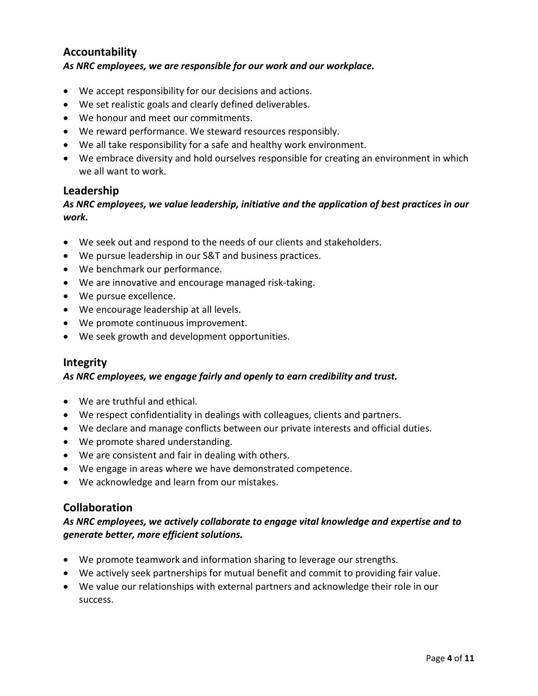## **Accountability** *As NRC employees, we are responsible for our work and our workplace.*

- We accept responsibility for our decisions and actions.
- We set realistic goals and clearly defined deliverables.
- We honour and meet our commitments.
- We reward performance. We steward resources responsibly.
- We all take responsibility for a safe and healthy work environment.
- We embrace diversity and hold ourselves responsible for creating an environment in which we all want to work.

#### **Leadership**

#### *As NRC employees, we value leadership, initiative and the application of best practices in our work.*

- We seek out and respond to the needs of our clients and stakeholders.
- We pursue leadership in our S&T and business practices.
- We benchmark our performance.
- We are innovative and encourage managed risk-taking.
- We pursue excellence.
- We encourage leadership at all levels.
- We promote continuous improvement.
- We seek growth and development opportunities.

#### **Integrity**

#### *As NRC employees, we engage fairly and openly to earn credibility and trust.*

- We are truthful and ethical.
- We respect confidentiality in dealings with colleagues, clients and partners.
- We declare and manage conflicts between our private interests and official duties.
- We promote shared understanding.
- We are consistent and fair in dealing with others.
- We engage in areas where we have demonstrated competence.
- We acknowledge and learn from our mistakes.

#### **Collaboration**

#### *As NRC employees, we actively collaborate to engage vital knowledge and expertise and to generate better, more efficient solutions.*

- We promote teamwork and information sharing to leverage our strengths.
- We actively seek partnerships for mutual benefit and commit to providing fair value.
- We value our relationships with external partners and acknowledge their role in our success.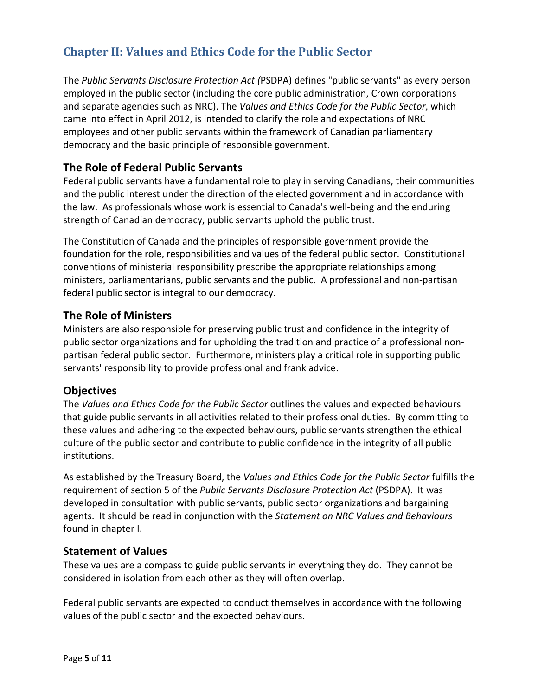# **Chapter II: Values and Ethics Code for the Public Sector**

The *Public Servants Disclosure Protection Act (*PSDPA) defines "public servants" as every person employed in the public sector (including the core public administration, Crown corporations and separate agencies such as NRC). The *Values and Ethics Code for the Public Sector*, which came into effect in April 2012, is intended to clarify the role and expectations of NRC employees and other public servants within the framework of Canadian parliamentary democracy and the basic principle of responsible government.

## **The Role of Federal Public Servants**

Federal public servants have a fundamental role to play in serving Canadians, their communities and the public interest under the direction of the elected government and in accordance with the law. As professionals whose work is essential to Canada's well-being and the enduring strength of Canadian democracy, public servants uphold the public trust.

The Constitution of Canada and the principles of responsible government provide the foundation for the role, responsibilities and values of the federal public sector. Constitutional conventions of ministerial responsibility prescribe the appropriate relationships among ministers, parliamentarians, public servants and the public. A professional and non-partisan federal public sector is integral to our democracy.

## **The Role of Ministers**

Ministers are also responsible for preserving public trust and confidence in the integrity of public sector organizations and for upholding the tradition and practice of a professional nonpartisan federal public sector. Furthermore, ministers play a critical role in supporting public servants' responsibility to provide professional and frank advice.

## **Objectives**

The *Values and Ethics Code for the Public Sector* outlines the values and expected behaviours that guide public servants in all activities related to their professional duties. By committing to these values and adhering to the expected behaviours, public servants strengthen the ethical culture of the public sector and contribute to public confidence in the integrity of all public institutions.

As established by the Treasury Board, the *Values and Ethics Code for the Public Sector* fulfills the requirement of section 5 of the *Public Servants Disclosure Protection Act* (PSDPA). It was developed in consultation with public servants, public sector organizations and bargaining agents. It should be read in conjunction with the *Statement on NRC Values and Behaviours* found in chapter I.

## **Statement of Values**

These values are a compass to guide public servants in everything they do. They cannot be considered in isolation from each other as they will often overlap.

Federal public servants are expected to conduct themselves in accordance with the following values of the public sector and the expected behaviours.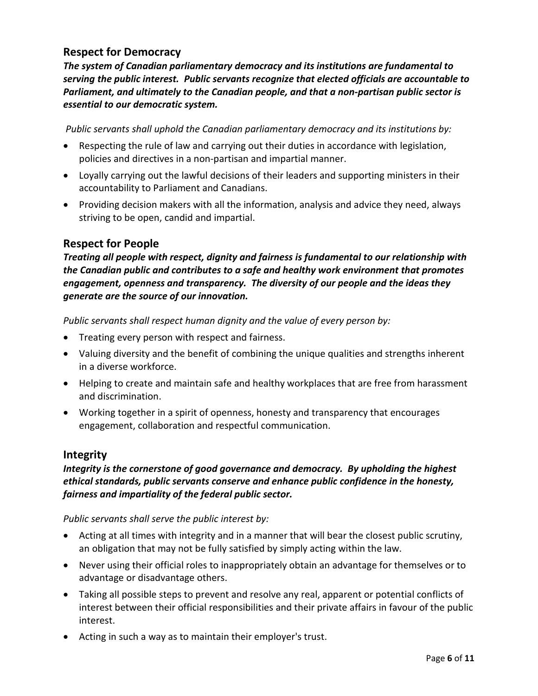## **Respect for Democracy**

*The system of Canadian parliamentary democracy and its institutions are fundamental to serving the public interest. Public servants recognize that elected officials are accountable to Parliament, and ultimately to the Canadian people, and that a non-partisan public sector is essential to our democratic system.*

*Public servants shall uphold the Canadian parliamentary democracy and its institutions by:*

- Respecting the rule of law and carrying out their duties in accordance with legislation, policies and directives in a non-partisan and impartial manner.
- Loyally carrying out the lawful decisions of their leaders and supporting ministers in their accountability to Parliament and Canadians.
- Providing decision makers with all the information, analysis and advice they need, always striving to be open, candid and impartial.

## **Respect for People**

*Treating all people with respect, dignity and fairness is fundamental to our relationship with the Canadian public and contributes to a safe and healthy work environment that promotes engagement, openness and transparency. The diversity of our people and the ideas they generate are the source of our innovation.*

*Public servants shall respect human dignity and the value of every person by:*

- Treating every person with respect and fairness.
- Valuing diversity and the benefit of combining the unique qualities and strengths inherent in a diverse workforce.
- Helping to create and maintain safe and healthy workplaces that are free from harassment and discrimination.
- Working together in a spirit of openness, honesty and transparency that encourages engagement, collaboration and respectful communication.

#### **Integrity**

## *Integrity is the cornerstone of good governance and democracy. By upholding the highest ethical standards, public servants conserve and enhance public confidence in the honesty, fairness and impartiality of the federal public sector.*

*Public servants shall serve the public interest by:*

- Acting at all times with integrity and in a manner that will bear the closest public scrutiny, an obligation that may not be fully satisfied by simply acting within the law.
- Never using their official roles to inappropriately obtain an advantage for themselves or to advantage or disadvantage others.
- Taking all possible steps to prevent and resolve any real, apparent or potential conflicts of interest between their official responsibilities and their private affairs in favour of the public interest.
- Acting in such a way as to maintain their employer's trust.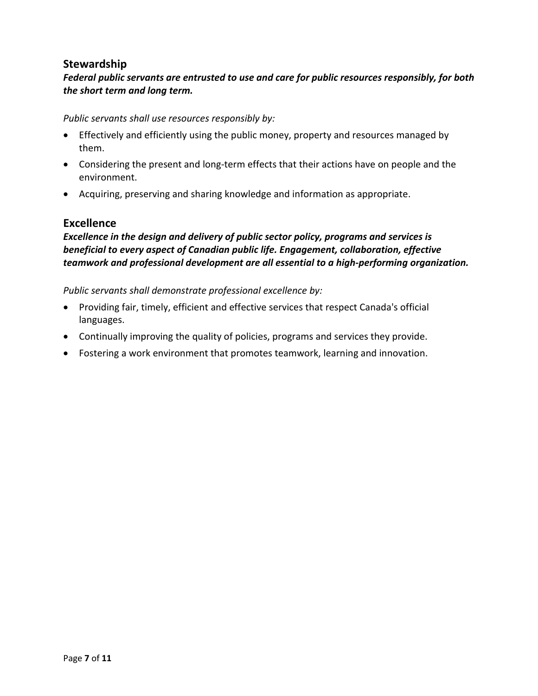## **Stewardship**

## *Federal public servants are entrusted to use and care for public resources responsibly, for both the short term and long term.*

*Public servants shall use resources responsibly by:*

- Effectively and efficiently using the public money, property and resources managed by them.
- Considering the present and long-term effects that their actions have on people and the environment.
- Acquiring, preserving and sharing knowledge and information as appropriate.

## **Excellence**

*Excellence in the design and delivery of public sector policy, programs and services is beneficial to every aspect of Canadian public life. Engagement, collaboration, effective teamwork and professional development are all essential to a high-performing organization.*

*Public servants shall demonstrate professional excellence by:*

- Providing fair, timely, efficient and effective services that respect Canada's official languages.
- Continually improving the quality of policies, programs and services they provide.
- Fostering a work environment that promotes teamwork, learning and innovation.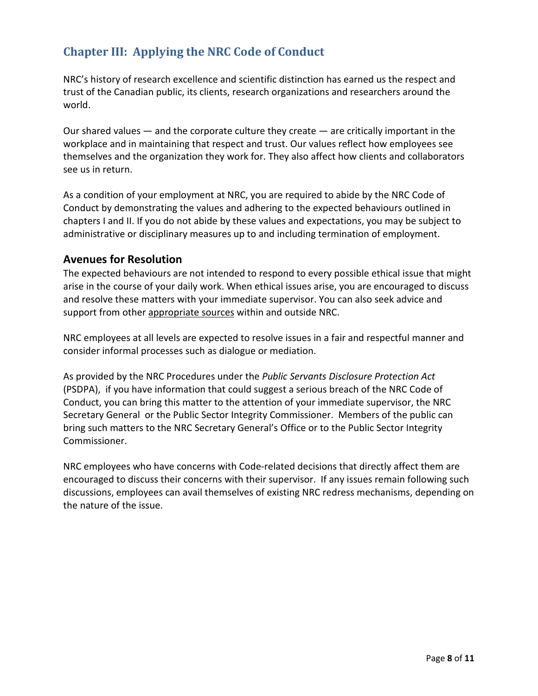# **Chapter III: Applying the NRC Code of Conduct**

NRC's history of research excellence and scientific distinction has earned us the respect and trust of the Canadian public, its clients, research organizations and researchers around the world.

Our shared values — and the corporate culture they create — are critically important in the workplace and in maintaining that respect and trust. Our values reflect how employees see themselves and the organization they work for. They also affect how clients and collaborators see us in return.

As a condition of your employment at NRC, you are required to abide by the NRC Code of Conduct by demonstrating the values and adhering to the expected behaviours outlined in chapters I and II. If you do not abide by these values and expectations, you may be subject to administrative or disciplinary measures up to and including termination of employment.

## **Avenues for Resolution**

The expected behaviours are not intended to respond to every possible ethical issue that might arise in the course of your daily work. When ethical issues arise, you are encouraged to discuss and resolve these matters with your immediate supervisor. You can also seek advice and support from other appropriate sources within and outside NRC.

NRC employees at all levels are expected to resolve issues in a fair and respectful manner and consider informal processes such as dialogue or mediation.

As provided by the NRC Procedures under the *Public Servants Disclosure Protection Act* (PSDPA), if you have information that could suggest a serious breach of the NRC Code of Conduct, you can bring this matter to the attention of your immediate supervisor, the NRC Secretary General or the Public Sector Integrity Commissioner. Members of the public can bring such matters to the NRC Secretary General's Office or to the Public Sector Integrity Commissioner.

NRC employees who have concerns with Code-related decisions that directly affect them are encouraged to discuss their concerns with their supervisor. If any issues remain following such discussions, employees can avail themselves of existing NRC redress mechanisms, depending on the nature of the issue.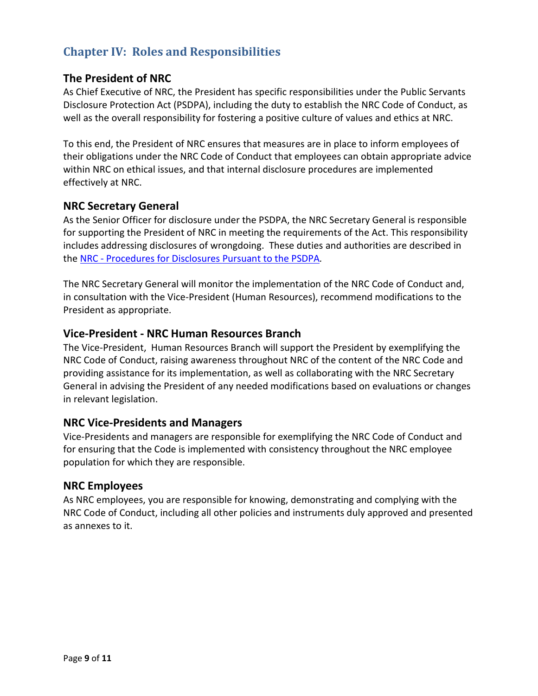# **Chapter IV: Roles and Responsibilities**

## **The President of NRC**

As Chief Executive of NRC, the President has specific responsibilities under the Public Servants Disclosure Protection Act (PSDPA), including the duty to establish the NRC Code of Conduct, as well as the overall responsibility for fostering a positive culture of values and ethics at NRC.

To this end, the President of NRC ensures that measures are in place to inform employees of their obligations under the NRC Code of Conduct that employees can obtain appropriate advice within NRC on ethical issues, and that internal disclosure procedures are implemented effectively at NRC.

## **NRC Secretary General**

As the Senior Officer for disclosure under the PSDPA, the NRC Secretary General is responsible for supporting the President of NRC in meeting the requirements of the Act. This responsibility includes addressing disclosures of wrongdoing. These duties and authorities are described in the NRC - [Procedures for Disclosures Pursuant to the](http://www.nrc-cnrc.gc.ca/eng/ethics-integrity/nrc-procedures-disclosure.html) PSDPA*.*

The NRC Secretary General will monitor the implementation of the NRC Code of Conduct and, in consultation with the Vice-President (Human Resources), recommend modifications to the President as appropriate.

## **Vice-President - NRC Human Resources Branch**

The Vice-President, Human Resources Branch will support the President by exemplifying the NRC Code of Conduct, raising awareness throughout NRC of the content of the NRC Code and providing assistance for its implementation, as well as collaborating with the NRC Secretary General in advising the President of any needed modifications based on evaluations or changes in relevant legislation.

#### **NRC Vice-Presidents and Managers**

Vice-Presidents and managers are responsible for exemplifying the NRC Code of Conduct and for ensuring that the Code is implemented with consistency throughout the NRC employee population for which they are responsible.

#### **NRC Employees**

As NRC employees, you are responsible for knowing, demonstrating and complying with the NRC Code of Conduct, including all other policies and instruments duly approved and presented as annexes to it.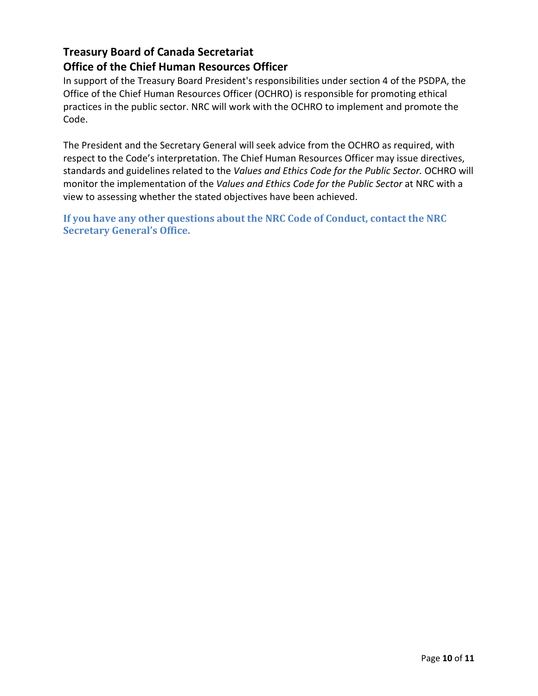## **Treasury Board of Canada Secretariat Office of the Chief Human Resources Officer**

In support of the Treasury Board President's responsibilities under section 4 of the PSDPA, the Office of the Chief Human Resources Officer (OCHRO) is responsible for promoting ethical practices in the public sector. NRC will work with the OCHRO to implement and promote the Code.

The President and the Secretary General will seek advice from the OCHRO as required, with respect to the Code's interpretation. The Chief Human Resources Officer may issue directives, standards and guidelines related to the *Values and Ethics Code for the Public Sector.* OCHRO will monitor the implementation of the *Values and Ethics Code for the Public Sector* at NRC with a view to assessing whether the stated objectives have been achieved.

**If you have any other questions about the NRC Code of Conduct, contact the NRC Secretary General's Office.**